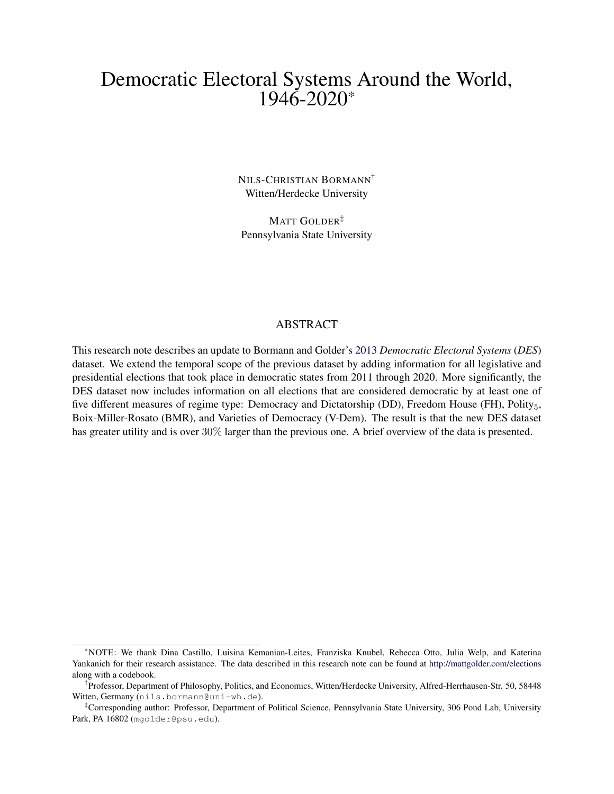# Democratic Electoral Systems Around the World, 1946-2020[\\*](#page-0-0)

NILS-CHRISTIAN BORMANN[†](#page-0-1) Witten/Herdecke University

MATT GOLDER<sup>[‡](#page-0-2)</sup> Pennsylvania State University

#### ABSTRACT

This research note describes an update to Bormann and Golder's [2013](#page-13-0) *Democratic Electoral Systems* (*DES*) dataset. We extend the temporal scope of the previous dataset by adding information for all legislative and presidential elections that took place in democratic states from 2011 through 2020. More significantly, the DES dataset now includes information on all elections that are considered democratic by at least one of five different measures of regime type: Democracy and Dictatorship (DD), Freedom House (FH), Polity<sub>5</sub>, Boix-Miller-Rosato (BMR), and Varieties of Democracy (V-Dem). The result is that the new DES dataset has greater utility and is over 30% larger than the previous one. A brief overview of the data is presented.

<span id="page-0-0"></span><sup>\*</sup>NOTE: We thank Dina Castillo, Luisina Kemanian-Leites, Franziska Knubel, Rebecca Otto, Julia Welp, and Katerina Yankanich for their research assistance. The data described in this research note can be found at <http://mattgolder.com/elections> along with a codebook.

<span id="page-0-1"></span><sup>†</sup> Professor, Department of Philosophy, Politics, and Economics, Witten/Herdecke University, Alfred-Herrhausen-Str. 50, 58448 Witten, Germany (nils.bormann@uni-wh.de).

<span id="page-0-2"></span><sup>‡</sup>Corresponding author: Professor, Department of Political Science, Pennsylvania State University, 306 Pond Lab, University Park, PA 16802 (mgolder@psu.edu).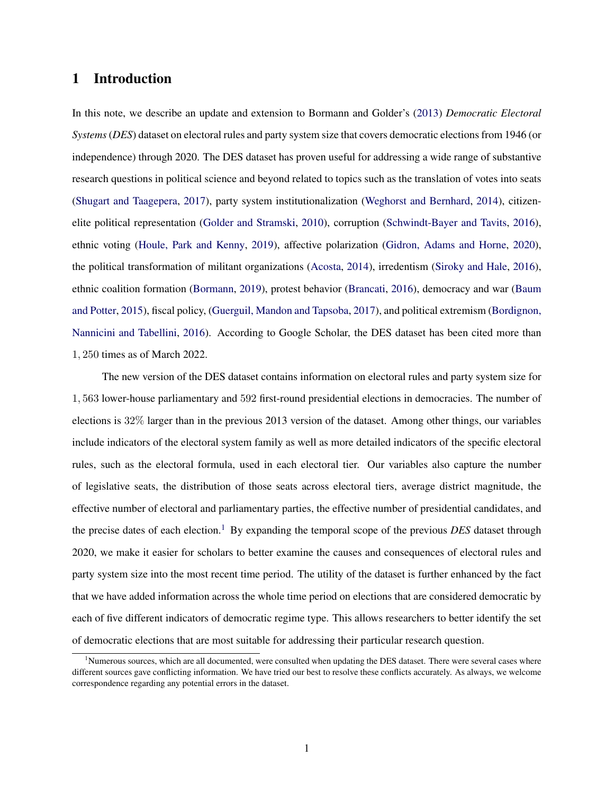### 1 Introduction

In this note, we describe an update and extension to Bormann and Golder's [\(2013\)](#page-13-0) *Democratic Electoral Systems*(*DES*) dataset on electoral rules and party system size that covers democratic elections from 1946 (or independence) through 2020. The DES dataset has proven useful for addressing a wide range of substantive research questions in political science and beyond related to topics such as the translation of votes into seats [\(Shugart and Taagepera,](#page-14-0) [2017\)](#page-14-0), party system institutionalization [\(Weghorst and Bernhard,](#page-15-0) [2014\)](#page-15-0), citizenelite political representation [\(Golder and Stramski,](#page-14-1) [2010\)](#page-14-1), corruption [\(Schwindt-Bayer and Tavits,](#page-14-2) [2016\)](#page-14-2), ethnic voting [\(Houle, Park and Kenny,](#page-14-3) [2019\)](#page-14-3), affective polarization [\(Gidron, Adams and Horne,](#page-14-4) [2020\)](#page-14-4), the political transformation of militant organizations [\(Acosta,](#page-13-1) [2014\)](#page-13-1), irredentism [\(Siroky and Hale,](#page-14-5) [2016\)](#page-14-5), ethnic coalition formation [\(Bormann,](#page-13-2) [2019\)](#page-13-2), protest behavior [\(Brancati,](#page-13-3) [2016\)](#page-13-3), democracy and war [\(Baum](#page-13-4) [and Potter,](#page-13-4) [2015\)](#page-13-4), fiscal policy, [\(Guerguil, Mandon and Tapsoba,](#page-14-6) [2017\)](#page-14-6), and political extremism [\(Bordignon,](#page-13-5) [Nannicini and Tabellini,](#page-13-5) [2016\)](#page-13-5). According to Google Scholar, the DES dataset has been cited more than 1*,* 250 times as of March 2022.

The new version of the DES dataset contains information on electoral rules and party system size for 1*,* 563 lower-house parliamentary and 592 first-round presidential elections in democracies. The number of elections is 32% larger than in the previous 2013 version of the dataset. Among other things, our variables include indicators of the electoral system family as well as more detailed indicators of the specific electoral rules, such as the electoral formula, used in each electoral tier. Our variables also capture the number of legislative seats, the distribution of those seats across electoral tiers, average district magnitude, the effective number of electoral and parliamentary parties, the effective number of presidential candidates, and the precise dates of each election.<sup>[1](#page-1-0)</sup> By expanding the temporal scope of the previous *DES* dataset through 2020, we make it easier for scholars to better examine the causes and consequences of electoral rules and party system size into the most recent time period. The utility of the dataset is further enhanced by the fact that we have added information across the whole time period on elections that are considered democratic by each of five different indicators of democratic regime type. This allows researchers to better identify the set of democratic elections that are most suitable for addressing their particular research question.

<span id="page-1-0"></span><sup>&</sup>lt;sup>1</sup>Numerous sources, which are all documented, were consulted when updating the DES dataset. There were several cases where different sources gave conflicting information. We have tried our best to resolve these conflicts accurately. As always, we welcome correspondence regarding any potential errors in the dataset.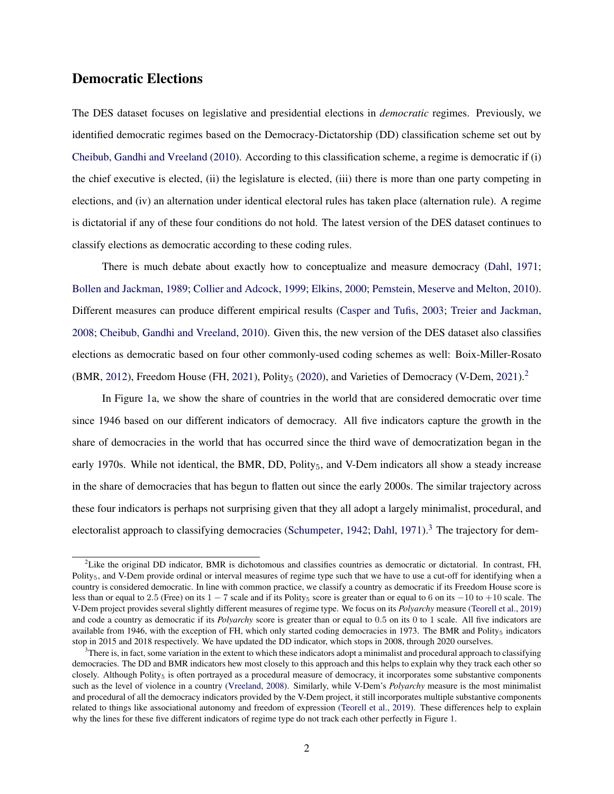### Democratic Elections

The DES dataset focuses on legislative and presidential elections in *democratic* regimes. Previously, we identified democratic regimes based on the Democracy-Dictatorship (DD) classification scheme set out by [Cheibub, Gandhi and Vreeland](#page-13-6) [\(2010\)](#page-13-6). According to this classification scheme, a regime is democratic if (i) the chief executive is elected, (ii) the legislature is elected, (iii) there is more than one party competing in elections, and (iv) an alternation under identical electoral rules has taken place (alternation rule). A regime is dictatorial if any of these four conditions do not hold. The latest version of the DES dataset continues to classify elections as democratic according to these coding rules.

There is much debate about exactly how to conceptualize and measure democracy [\(Dahl,](#page-13-7) [1971;](#page-13-7) [Bollen and Jackman,](#page-13-8) [1989;](#page-13-8) [Collier and Adcock,](#page-13-9) [1999;](#page-13-9) [Elkins,](#page-14-7) [2000;](#page-14-7) [Pemstein, Meserve and Melton,](#page-14-8) [2010\)](#page-14-8). Different measures can produce different empirical results [\(Casper and Tufis,](#page-13-10) [2003;](#page-13-10) [Treier and Jackman,](#page-15-1) [2008;](#page-15-1) [Cheibub, Gandhi and Vreeland,](#page-13-6) [2010\)](#page-13-6). Given this, the new version of the DES dataset also classifies elections as democratic based on four other commonly-used coding schemes as well: Boix-Miller-Rosato (BMR, [2012\)](#page-13-11), Freedom House (FH, [2021\)](#page-13-12), Polity<sub>5</sub> [\(2020\)](#page-14-10), and Varieties of Democracy (V-Dem, [2](#page-2-0)021).<sup>2</sup>

In Figure [1a](#page-3-0), we show the share of countries in the world that are considered democratic over time since 1946 based on our different indicators of democracy. All five indicators capture the growth in the share of democracies in the world that has occurred since the third wave of democratization began in the early 1970s. While not identical, the BMR, DD, Polity $_5$ , and V-Dem indicators all show a steady increase in the share of democracies that has begun to flatten out since the early 2000s. The similar trajectory across these four indicators is perhaps not surprising given that they all adopt a largely minimalist, procedural, and electoralist approach to classifying democracies [\(Schumpeter,](#page-14-11) [1942;](#page-14-11) [Dahl,](#page-13-7) [1971\)](#page-13-7).<sup>[3](#page-2-1)</sup> The trajectory for dem-

<span id="page-2-0"></span><sup>&</sup>lt;sup>2</sup>Like the original DD indicator, BMR is dichotomous and classifies countries as democratic or dictatorial. In contrast, FH, Polity<sub>5</sub>, and V-Dem provide ordinal or interval measures of regime type such that we have to use a cut-off for identifying when a country is considered democratic. In line with common practice, we classify a country as democratic if its Freedom House score is less than or equal to 2.5 (Free) on its  $1 - 7$  scale and if its Polity<sub>5</sub> score is greater than or equal to 6 on its  $-10$  to  $+10$  scale. The V-Dem project provides several slightly different measures of regime type. We focus on its *Polyarchy* measure [\(Teorell et al.,](#page-15-2) [2019\)](#page-15-2) and code a country as democratic if its *Polyarchy* score is greater than or equal to 0*.*5 on its 0 to 1 scale. All five indicators are available from 1946, with the exception of FH, which only started coding democracies in 1973. The BMR and Polity $_5$  indicators stop in 2015 and 2018 respectively. We have updated the DD indicator, which stops in 2008, through 2020 ourselves.

<span id="page-2-1"></span> $3$ There is, in fact, some variation in the extent to which these indicators adopt a minimalist and procedural approach to classifying democracies. The DD and BMR indicators hew most closely to this approach and this helps to explain why they track each other so closely. Although Polity<sub>5</sub> is often portrayed as a procedural measure of democracy, it incorporates some substantive components such as the level of violence in a country [\(Vreeland,](#page-15-3) [2008\)](#page-15-3). Similarly, while V-Dem's *Polyarchy* measure is the most minimalist and procedural of all the democracy indicators provided by the V-Dem project, it still incorporates multiple substantive components related to things like associational autonomy and freedom of expression [\(Teorell et al.,](#page-15-2) [2019\)](#page-15-2). These differences help to explain why the lines for these five different indicators of regime type do not track each other perfectly in Figure [1.](#page-3-0)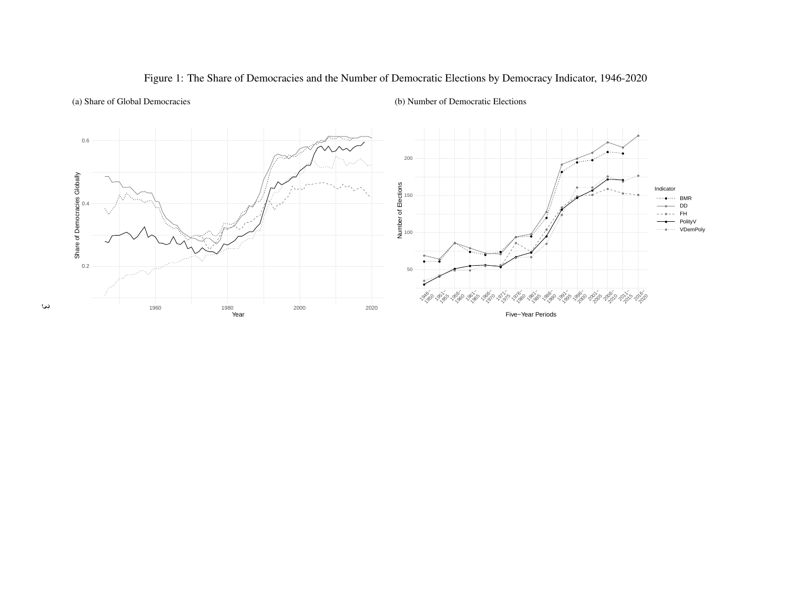

#### <span id="page-3-0"></span>Figure 1: The Share of Democracies and the Number of Democratic Elections by Democracy Indicator, 1946-2020

(b) Number of Democratic Elections

(a) Share of Global Democracies

 $\omega$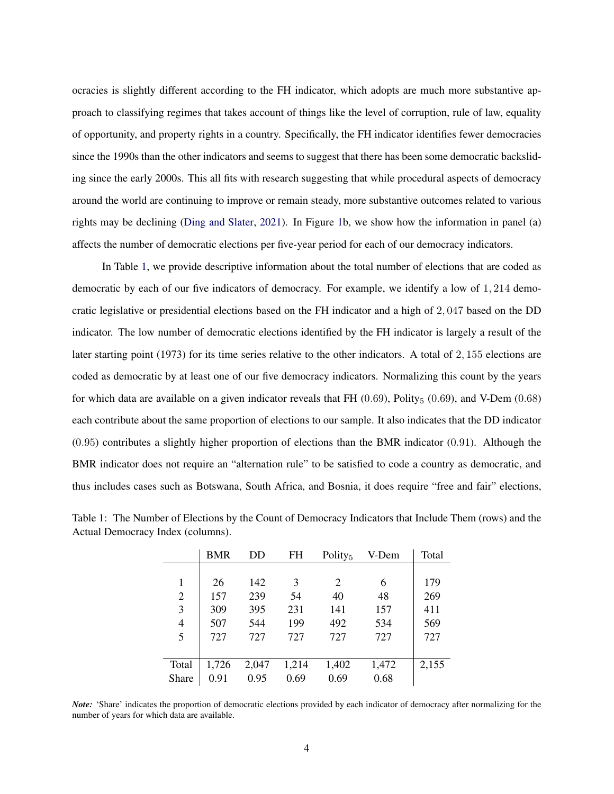ocracies is slightly different according to the FH indicator, which adopts are much more substantive approach to classifying regimes that takes account of things like the level of corruption, rule of law, equality of opportunity, and property rights in a country. Specifically, the FH indicator identifies fewer democracies since the 1990s than the other indicators and seems to suggest that there has been some democratic backsliding since the early 2000s. This all fits with research suggesting that while procedural aspects of democracy around the world are continuing to improve or remain steady, more substantive outcomes related to various rights may be declining [\(Ding and Slater,](#page-13-13) [2021\)](#page-13-13). In Figure [1b](#page-3-0), we show how the information in panel (a) affects the number of democratic elections per five-year period for each of our democracy indicators.

In Table [1,](#page-4-0) we provide descriptive information about the total number of elections that are coded as democratic by each of our five indicators of democracy. For example, we identify a low of 1*,* 214 democratic legislative or presidential elections based on the FH indicator and a high of 2*,* 047 based on the DD indicator. The low number of democratic elections identified by the FH indicator is largely a result of the later starting point (1973) for its time series relative to the other indicators. A total of 2*,* 155 elections are coded as democratic by at least one of our five democracy indicators. Normalizing this count by the years for which data are available on a given indicator reveals that FH  $(0.69)$ , Polity<sub>5</sub>  $(0.69)$ , and V-Dem  $(0.68)$ each contribute about the same proportion of elections to our sample. It also indicates that the DD indicator (0*.*95) contributes a slightly higher proportion of elections than the BMR indicator (0*.*91). Although the BMR indicator does not require an "alternation rule" to be satisfied to code a country as democratic, and thus includes cases such as Botswana, South Africa, and Bosnia, it does require "free and fair" elections,

|                | <b>BMR</b> | DD    | FH    | Polity <sub>5</sub> | V-Dem | Total |
|----------------|------------|-------|-------|---------------------|-------|-------|
|                |            |       |       |                     |       |       |
| 1              | 26         | 142   | 3     | 2                   | 6     | 179   |
| 2              | 157        | 239   | 54    | 40                  | 48    | 269   |
| 3              | 309        | 395   | 231   | 141                 | 157   | 411   |
| $\overline{4}$ | 507        | 544   | 199   | 492                 | 534   | 569   |
| 5              | 727        | 727   | 727   | 727                 | 727   | 727   |
|                |            |       |       |                     |       |       |
| Total          | 1,726      | 2,047 | 1,214 | 1,402               | 1,472 | 2,155 |
| Share          | 0.91       | 0.95  | 0.69  | 0.69                | 0.68  |       |

<span id="page-4-0"></span>Table 1: The Number of Elections by the Count of Democracy Indicators that Include Them (rows) and the Actual Democracy Index (columns).

*Note:* 'Share' indicates the proportion of democratic elections provided by each indicator of democracy after normalizing for the number of years for which data are available.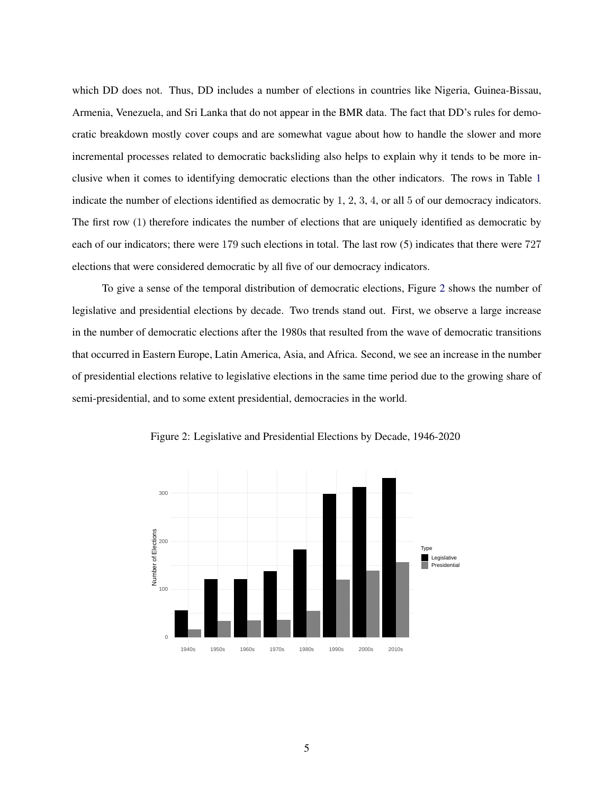which DD does not. Thus, DD includes a number of elections in countries like Nigeria, Guinea-Bissau, Armenia, Venezuela, and Sri Lanka that do not appear in the BMR data. The fact that DD's rules for democratic breakdown mostly cover coups and are somewhat vague about how to handle the slower and more incremental processes related to democratic backsliding also helps to explain why it tends to be more inclusive when it comes to identifying democratic elections than the other indicators. The rows in Table [1](#page-4-0) indicate the number of elections identified as democratic by 1, 2, 3, 4, or all 5 of our democracy indicators. The first row (1) therefore indicates the number of elections that are uniquely identified as democratic by each of our indicators; there were 179 such elections in total. The last row (5) indicates that there were 727 elections that were considered democratic by all five of our democracy indicators.

To give a sense of the temporal distribution of democratic elections, Figure [2](#page-5-0) shows the number of legislative and presidential elections by decade. Two trends stand out. First, we observe a large increase in the number of democratic elections after the 1980s that resulted from the wave of democratic transitions that occurred in Eastern Europe, Latin America, Asia, and Africa. Second, we see an increase in the number of presidential elections relative to legislative elections in the same time period due to the growing share of semi-presidential, and to some extent presidential, democracies in the world.

<span id="page-5-0"></span>

Figure 2: Legislative and Presidential Elections by Decade, 1946-2020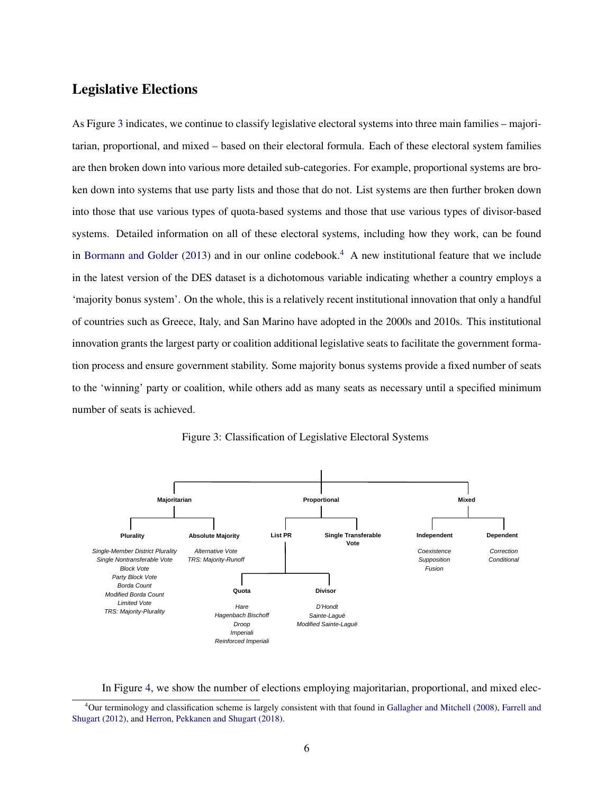### Legislative Elections

As Figure [3](#page-6-0) indicates, we continue to classify legislative electoral systems into three main families – majoritarian, proportional, and mixed – based on their electoral formula. Each of these electoral system families are then broken down into various more detailed sub-categories. For example, proportional systems are broken down into systems that use party lists and those that do not. List systems are then further broken down into those that use various types of quota-based systems and those that use various types of divisor-based systems. Detailed information on all of these electoral systems, including how they work, can be found in [Bormann and Golder](#page-13-0) [\(2013\)](#page-13-0) and in our online codebook.<sup>[4](#page-6-1)</sup> A new institutional feature that we include in the latest version of the DES dataset is a dichotomous variable indicating whether a country employs a 'majority bonus system'. On the whole, this is a relatively recent institutional innovation that only a handful of countries such as Greece, Italy, and San Marino have adopted in the 2000s and 2010s. This institutional innovation grants the largest party or coalition additional legislative seats to facilitate the government formation process and ensure government stability. Some majority bonus systems provide a fixed number of seats to the 'winning' party or coalition, while others add as many seats as necessary until a specified minimum number of seats is achieved.

<span id="page-6-0"></span>

Figure 3: Classification of Legislative Electoral Systems

In Figure [4,](#page-7-0) we show the number of elections employing majoritarian, proportional, and mixed elec-

<span id="page-6-1"></span><sup>4</sup>Our terminology and classification scheme is largely consistent with that found in [Gallagher and Mitchell](#page-14-12) [\(2008\)](#page-14-12), [Farrell and](#page-14-13) [Shugart](#page-14-13) [\(2012\)](#page-14-13), and [Herron, Pekkanen and Shugart](#page-14-14) [\(2018\)](#page-14-14).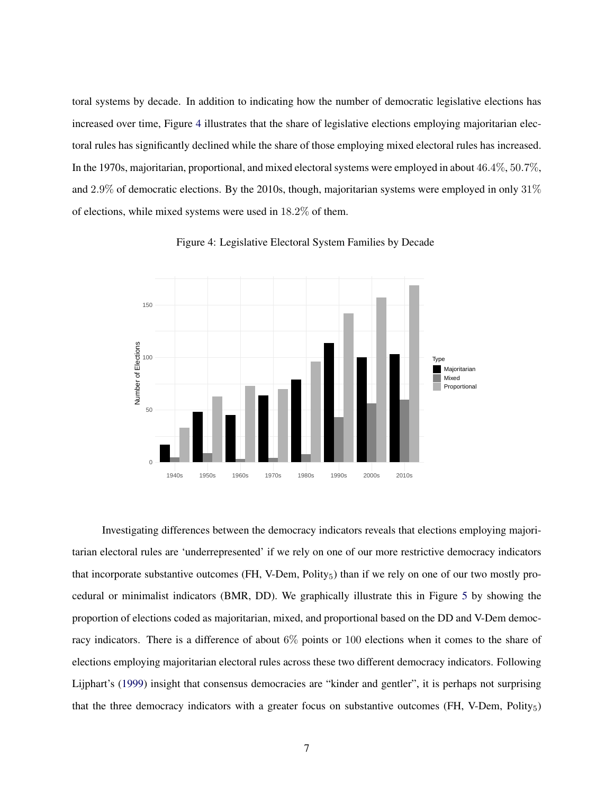toral systems by decade. In addition to indicating how the number of democratic legislative elections has increased over time, Figure [4](#page-7-0) illustrates that the share of legislative elections employing majoritarian electoral rules has significantly declined while the share of those employing mixed electoral rules has increased. In the 1970s, majoritarian, proportional, and mixed electoral systems were employed in about 46*.*4%, 50*.*7%, and 2*.*9% of democratic elections. By the 2010s, though, majoritarian systems were employed in only 31% of elections, while mixed systems were used in 18*.*2% of them.

<span id="page-7-0"></span>

Figure 4: Legislative Electoral System Families by Decade

Investigating differences between the democracy indicators reveals that elections employing majoritarian electoral rules are 'underrepresented' if we rely on one of our more restrictive democracy indicators that incorporate substantive outcomes (FH, V-Dem, Polity $_5$ ) than if we rely on one of our two mostly procedural or minimalist indicators (BMR, DD). We graphically illustrate this in Figure [5](#page-8-0) by showing the proportion of elections coded as majoritarian, mixed, and proportional based on the DD and V-Dem democracy indicators. There is a difference of about 6% points or 100 elections when it comes to the share of elections employing majoritarian electoral rules across these two different democracy indicators. Following Lijphart's [\(1999\)](#page-14-15) insight that consensus democracies are "kinder and gentler", it is perhaps not surprising that the three democracy indicators with a greater focus on substantive outcomes (FH, V-Dem, Polity $_5$ )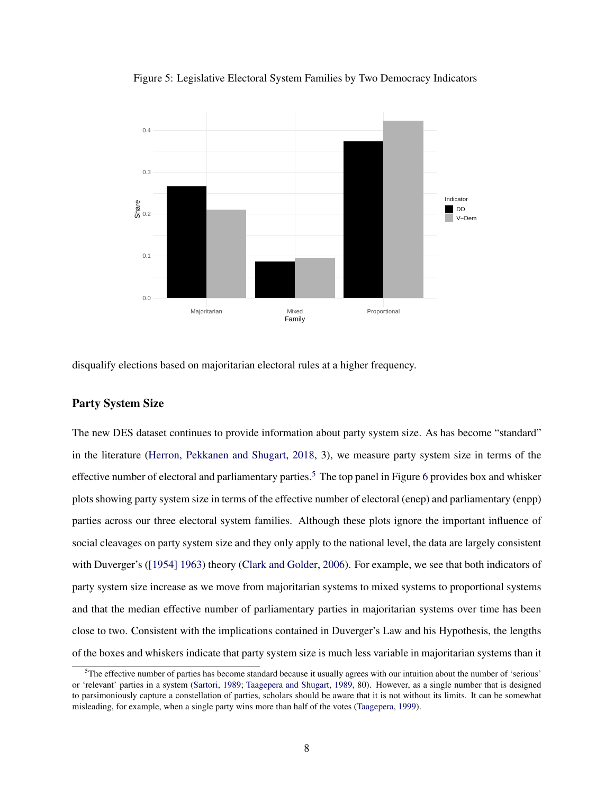<span id="page-8-0"></span>



disqualify elections based on majoritarian electoral rules at a higher frequency.

#### Party System Size

The new DES dataset continues to provide information about party system size. As has become "standard" in the literature [\(Herron, Pekkanen and Shugart,](#page-14-14) [2018,](#page-14-14) 3), we measure party system size in terms of the effective number of electoral and parliamentary parties.<sup>[5](#page-8-1)</sup> The top panel in Figure [6](#page-9-0) provides box and whisker plots showing party system size in terms of the effective number of electoral (enep) and parliamentary (enpp) parties across our three electoral system families. Although these plots ignore the important influence of social cleavages on party system size and they only apply to the national level, the data are largely consistent with Duverger's [\(\[1954\] 1963\)](#page-14-16) theory [\(Clark and Golder,](#page-13-14) [2006\)](#page-13-14). For example, we see that both indicators of party system size increase as we move from majoritarian systems to mixed systems to proportional systems and that the median effective number of parliamentary parties in majoritarian systems over time has been close to two. Consistent with the implications contained in Duverger's Law and his Hypothesis, the lengths of the boxes and whiskers indicate that party system size is much less variable in majoritarian systems than it

<span id="page-8-1"></span> $5$ The effective number of parties has become standard because it usually agrees with our intuition about the number of 'serious' or 'relevant' parties in a system [\(Sartori,](#page-14-17) [1989;](#page-14-17) [Taagepera and Shugart,](#page-15-4) [1989,](#page-15-4) 80). However, as a single number that is designed to parsimoniously capture a constellation of parties, scholars should be aware that it is not without its limits. It can be somewhat misleading, for example, when a single party wins more than half of the votes [\(Taagepera,](#page-15-5) [1999\)](#page-15-5).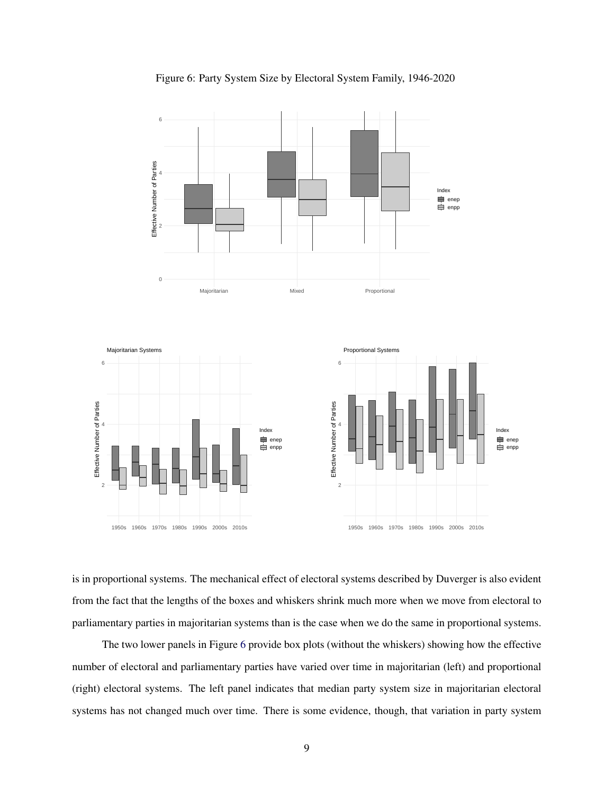<span id="page-9-0"></span>

Figure 6: Party System Size by Electoral System Family, 1946-2020

is in proportional systems. The mechanical effect of electoral systems described by Duverger is also evident from the fact that the lengths of the boxes and whiskers shrink much more when we move from electoral to parliamentary parties in majoritarian systems than is the case when we do the same in proportional systems.

The two lower panels in Figure [6](#page-9-0) provide box plots (without the whiskers) showing how the effective number of electoral and parliamentary parties have varied over time in majoritarian (left) and proportional (right) electoral systems. The left panel indicates that median party system size in majoritarian electoral systems has not changed much over time. There is some evidence, though, that variation in party system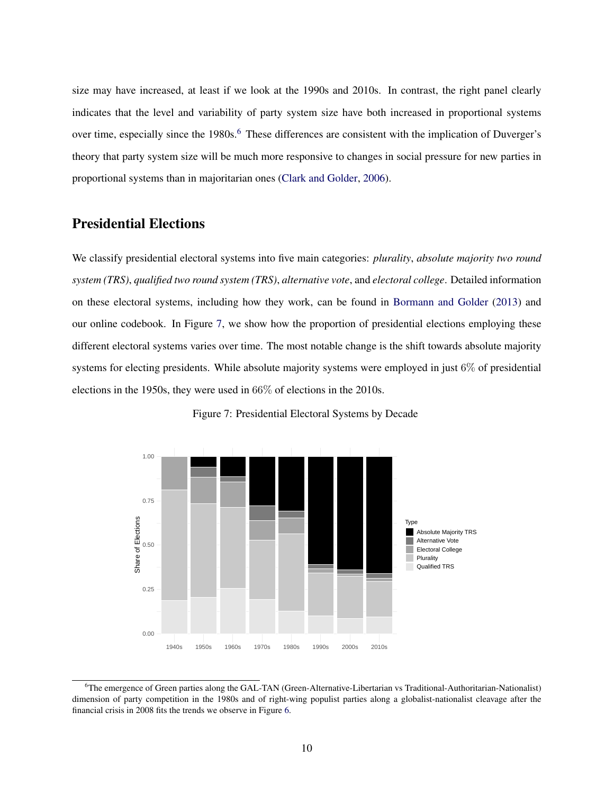size may have increased, at least if we look at the 1990s and 2010s. In contrast, the right panel clearly indicates that the level and variability of party system size have both increased in proportional systems over time, especially since the 1980s.<sup>[6](#page-10-0)</sup> These differences are consistent with the implication of Duverger's theory that party system size will be much more responsive to changes in social pressure for new parties in proportional systems than in majoritarian ones [\(Clark and Golder,](#page-13-14) [2006\)](#page-13-14).

#### Presidential Elections

We classify presidential electoral systems into five main categories: *plurality*, *absolute majority two round system (TRS)*, *qualified two round system (TRS)*, *alternative vote*, and *electoral college*. Detailed information on these electoral systems, including how they work, can be found in [Bormann and Golder](#page-13-0) [\(2013\)](#page-13-0) and our online codebook. In Figure [7,](#page-10-1) we show how the proportion of presidential elections employing these different electoral systems varies over time. The most notable change is the shift towards absolute majority systems for electing presidents. While absolute majority systems were employed in just 6% of presidential elections in the 1950s, they were used in 66% of elections in the 2010s.

<span id="page-10-1"></span>

Figure 7: Presidential Electoral Systems by Decade

<span id="page-10-0"></span><sup>6</sup>The emergence of Green parties along the GAL-TAN (Green-Alternative-Libertarian vs Traditional-Authoritarian-Nationalist) dimension of party competition in the 1980s and of right-wing populist parties along a globalist-nationalist cleavage after the financial crisis in 2008 fits the trends we observe in Figure [6.](#page-9-0)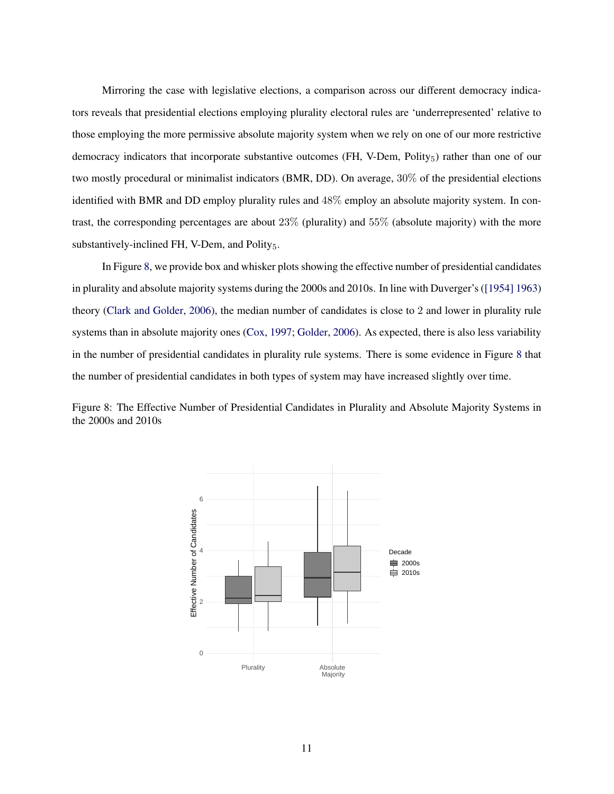Mirroring the case with legislative elections, a comparison across our different democracy indicators reveals that presidential elections employing plurality electoral rules are 'underrepresented' relative to those employing the more permissive absolute majority system when we rely on one of our more restrictive democracy indicators that incorporate substantive outcomes (FH, V-Dem, Polity<sub>5</sub>) rather than one of our two mostly procedural or minimalist indicators (BMR, DD). On average, 30% of the presidential elections identified with BMR and DD employ plurality rules and 48% employ an absolute majority system. In contrast, the corresponding percentages are about 23% (plurality) and 55% (absolute majority) with the more substantively-inclined FH, V-Dem, and Polity<sub>5</sub>.

In Figure [8,](#page-11-0) we provide box and whisker plots showing the effective number of presidential candidates in plurality and absolute majority systems during the 2000s and 2010s. In line with Duverger's [\(\[1954\] 1963\)](#page-14-16) theory [\(Clark and Golder,](#page-13-14) [2006\)](#page-13-14), the median number of candidates is close to 2 and lower in plurality rule systems than in absolute majority ones [\(Cox,](#page-13-15) [1997;](#page-13-15) [Golder,](#page-14-18) [2006\)](#page-14-18). As expected, there is also less variability in the number of presidential candidates in plurality rule systems. There is some evidence in Figure [8](#page-11-0) that the number of presidential candidates in both types of system may have increased slightly over time.

<span id="page-11-0"></span>Figure 8: The Effective Number of Presidential Candidates in Plurality and Absolute Majority Systems in the 2000s and 2010s

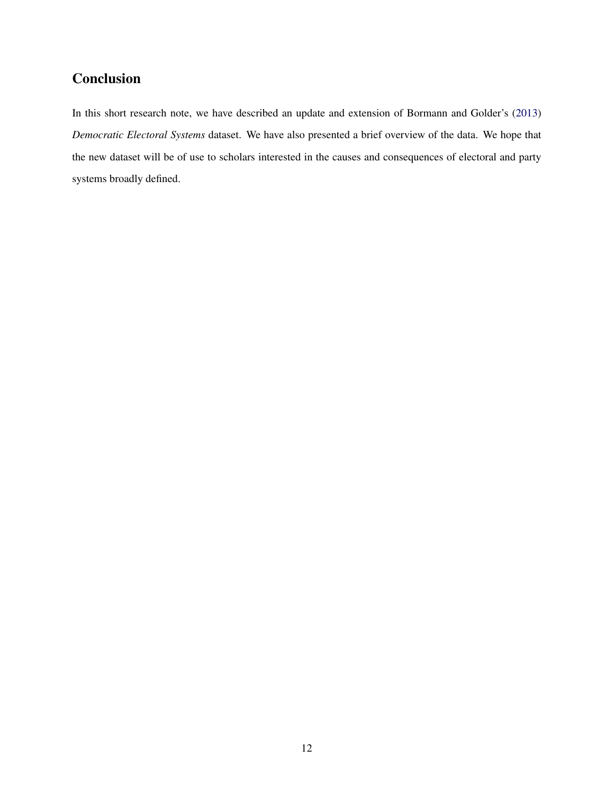## **Conclusion**

In this short research note, we have described an update and extension of Bormann and Golder's [\(2013\)](#page-13-0) *Democratic Electoral Systems* dataset. We have also presented a brief overview of the data. We hope that the new dataset will be of use to scholars interested in the causes and consequences of electoral and party systems broadly defined.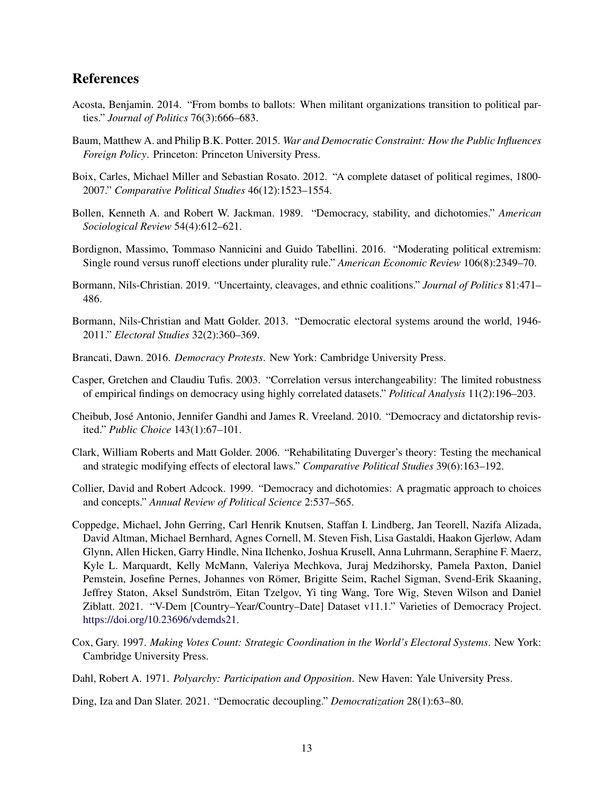## References

- <span id="page-13-1"></span>Acosta, Benjamin. 2014. "From bombs to ballots: When militant organizations transition to political parties." *Journal of Politics* 76(3):666–683.
- <span id="page-13-4"></span>Baum, Matthew A. and Philip B.K. Potter. 2015. *War and Democratic Constraint: How the Public Influences Foreign Policy*. Princeton: Princeton University Press.
- <span id="page-13-11"></span>Boix, Carles, Michael Miller and Sebastian Rosato. 2012. "A complete dataset of political regimes, 1800- 2007." *Comparative Political Studies* 46(12):1523–1554.
- <span id="page-13-8"></span>Bollen, Kenneth A. and Robert W. Jackman. 1989. "Democracy, stability, and dichotomies." *American Sociological Review* 54(4):612–621.
- <span id="page-13-5"></span>Bordignon, Massimo, Tommaso Nannicini and Guido Tabellini. 2016. "Moderating political extremism: Single round versus runoff elections under plurality rule." *American Economic Review* 106(8):2349–70.
- <span id="page-13-2"></span>Bormann, Nils-Christian. 2019. "Uncertainty, cleavages, and ethnic coalitions." *Journal of Politics* 81:471– 486.
- <span id="page-13-0"></span>Bormann, Nils-Christian and Matt Golder. 2013. "Democratic electoral systems around the world, 1946- 2011." *Electoral Studies* 32(2):360–369.
- <span id="page-13-3"></span>Brancati, Dawn. 2016. *Democracy Protests*. New York: Cambridge University Press.
- <span id="page-13-10"></span>Casper, Gretchen and Claudiu Tufis. 2003. "Correlation versus interchangeability: The limited robustness of empirical findings on democracy using highly correlated datasets." *Political Analysis* 11(2):196–203.
- <span id="page-13-6"></span>Cheibub, José Antonio, Jennifer Gandhi and James R. Vreeland. 2010. "Democracy and dictatorship revisited." *Public Choice* 143(1):67–101.
- <span id="page-13-14"></span>Clark, William Roberts and Matt Golder. 2006. "Rehabilitating Duverger's theory: Testing the mechanical and strategic modifying effects of electoral laws." *Comparative Political Studies* 39(6):163–192.
- <span id="page-13-9"></span>Collier, David and Robert Adcock. 1999. "Democracy and dichotomies: A pragmatic approach to choices and concepts." *Annual Review of Political Science* 2:537–565.
- <span id="page-13-12"></span>Coppedge, Michael, John Gerring, Carl Henrik Knutsen, Staffan I. Lindberg, Jan Teorell, Nazifa Alizada, David Altman, Michael Bernhard, Agnes Cornell, M. Steven Fish, Lisa Gastaldi, Haakon Gjerløw, Adam Glynn, Allen Hicken, Garry Hindle, Nina Ilchenko, Joshua Krusell, Anna Luhrmann, Seraphine F. Maerz, Kyle L. Marquardt, Kelly McMann, Valeriya Mechkova, Juraj Medzihorsky, Pamela Paxton, Daniel Pemstein, Josefine Pernes, Johannes von Römer, Brigitte Seim, Rachel Sigman, Svend-Erik Skaaning, Jeffrey Staton, Aksel Sundström, Eitan Tzelgov, Yi ting Wang, Tore Wig, Steven Wilson and Daniel Ziblatt. 2021. "V-Dem [Country–Year/Country–Date] Dataset v11.1." Varieties of Democracy Project. [https://doi.org/10.23696/vdemds21.](https://doi.org/10.23696/vdemds21)
- <span id="page-13-15"></span>Cox, Gary. 1997. *Making Votes Count: Strategic Coordination in the World's Electoral Systems*. New York: Cambridge University Press.
- <span id="page-13-7"></span>Dahl, Robert A. 1971. *Polyarchy: Participation and Opposition*. New Haven: Yale University Press.
- <span id="page-13-13"></span>Ding, Iza and Dan Slater. 2021. "Democratic decoupling." *Democratization* 28(1):63–80.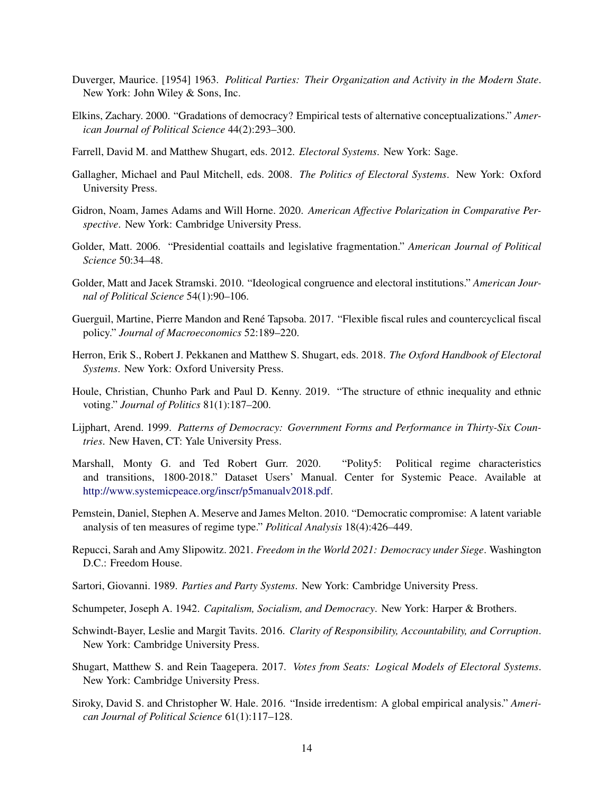- <span id="page-14-16"></span>Duverger, Maurice. [1954] 1963. *Political Parties: Their Organization and Activity in the Modern State*. New York: John Wiley & Sons, Inc.
- <span id="page-14-7"></span>Elkins, Zachary. 2000. "Gradations of democracy? Empirical tests of alternative conceptualizations." *American Journal of Political Science* 44(2):293–300.
- <span id="page-14-13"></span>Farrell, David M. and Matthew Shugart, eds. 2012. *Electoral Systems*. New York: Sage.
- <span id="page-14-12"></span>Gallagher, Michael and Paul Mitchell, eds. 2008. *The Politics of Electoral Systems*. New York: Oxford University Press.
- <span id="page-14-4"></span>Gidron, Noam, James Adams and Will Horne. 2020. *American Affective Polarization in Comparative Perspective*. New York: Cambridge University Press.
- <span id="page-14-18"></span>Golder, Matt. 2006. "Presidential coattails and legislative fragmentation." *American Journal of Political Science* 50:34–48.
- <span id="page-14-1"></span>Golder, Matt and Jacek Stramski. 2010. "Ideological congruence and electoral institutions." *American Journal of Political Science* 54(1):90–106.
- <span id="page-14-6"></span>Guerguil, Martine, Pierre Mandon and René Tapsoba. 2017. "Flexible fiscal rules and countercyclical fiscal policy." *Journal of Macroeconomics* 52:189–220.
- <span id="page-14-14"></span>Herron, Erik S., Robert J. Pekkanen and Matthew S. Shugart, eds. 2018. *The Oxford Handbook of Electoral Systems*. New York: Oxford University Press.
- <span id="page-14-3"></span>Houle, Christian, Chunho Park and Paul D. Kenny. 2019. "The structure of ethnic inequality and ethnic voting." *Journal of Politics* 81(1):187–200.
- <span id="page-14-15"></span>Lijphart, Arend. 1999. *Patterns of Democracy: Government Forms and Performance in Thirty-Six Countries*. New Haven, CT: Yale University Press.
- <span id="page-14-10"></span>Marshall, Monty G. and Ted Robert Gurr. 2020. "Polity5: Political regime characteristics and transitions, 1800-2018." Dataset Users' Manual. Center for Systemic Peace. Available at [http://www.systemicpeace.org/inscr/p5manualv2018.pdf.](http://www.systemicpeace.org/inscr/p5manualv2018.pdf)
- <span id="page-14-8"></span>Pemstein, Daniel, Stephen A. Meserve and James Melton. 2010. "Democratic compromise: A latent variable analysis of ten measures of regime type." *Political Analysis* 18(4):426–449.
- <span id="page-14-9"></span>Repucci, Sarah and Amy Slipowitz. 2021. *Freedom in the World 2021: Democracy under Siege*. Washington D.C.: Freedom House.
- <span id="page-14-17"></span>Sartori, Giovanni. 1989. *Parties and Party Systems*. New York: Cambridge University Press.
- <span id="page-14-11"></span>Schumpeter, Joseph A. 1942. *Capitalism, Socialism, and Democracy*. New York: Harper & Brothers.
- <span id="page-14-2"></span>Schwindt-Bayer, Leslie and Margit Tavits. 2016. *Clarity of Responsibility, Accountability, and Corruption*. New York: Cambridge University Press.
- <span id="page-14-0"></span>Shugart, Matthew S. and Rein Taagepera. 2017. *Votes from Seats: Logical Models of Electoral Systems*. New York: Cambridge University Press.
- <span id="page-14-5"></span>Siroky, David S. and Christopher W. Hale. 2016. "Inside irredentism: A global empirical analysis." *American Journal of Political Science* 61(1):117–128.